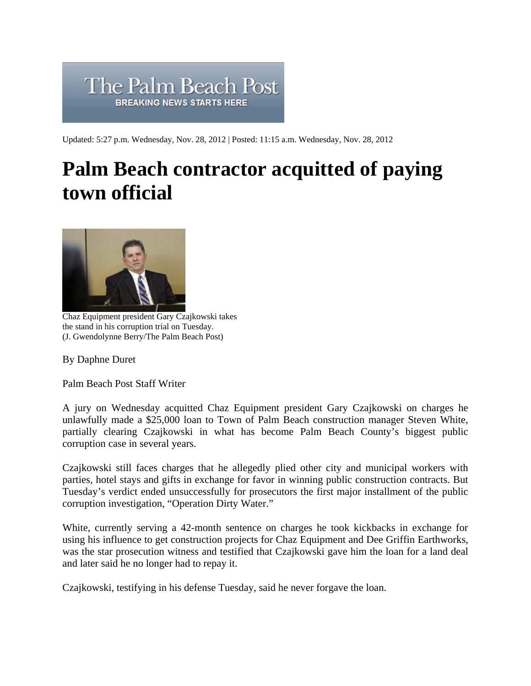

Updated: 5:27 p.m. Wednesday, Nov. 28, 2012 | Posted: 11:15 a.m. Wednesday, Nov. 28, 2012

## **Palm Beach contractor acquitted of paying town official**



Chaz Equipment president Gary Czajkowski takes the stand in his corruption trial on Tuesday. (J. Gwendolynne Berry/The Palm Beach Post)

By Daphne Duret

Palm Beach Post Staff Writer

A jury on Wednesday acquitted Chaz Equipment president Gary Czajkowski on charges he unlawfully made a \$25,000 loan to Town of Palm Beach construction manager Steven White, partially clearing Czajkowski in what has become Palm Beach County's biggest public corruption case in several years.

Czajkowski still faces charges that he allegedly plied other city and municipal workers with parties, hotel stays and gifts in exchange for favor in winning public construction contracts. But Tuesday's verdict ended unsuccessfully for prosecutors the first major installment of the public corruption investigation, "Operation Dirty Water."

White, currently serving a 42-month sentence on charges he took kickbacks in exchange for using his influence to get construction projects for Chaz Equipment and Dee Griffin Earthworks, was the star prosecution witness and testified that Czajkowski gave him the loan for a land deal and later said he no longer had to repay it.

Czajkowski, testifying in his defense Tuesday, said he never forgave the loan.